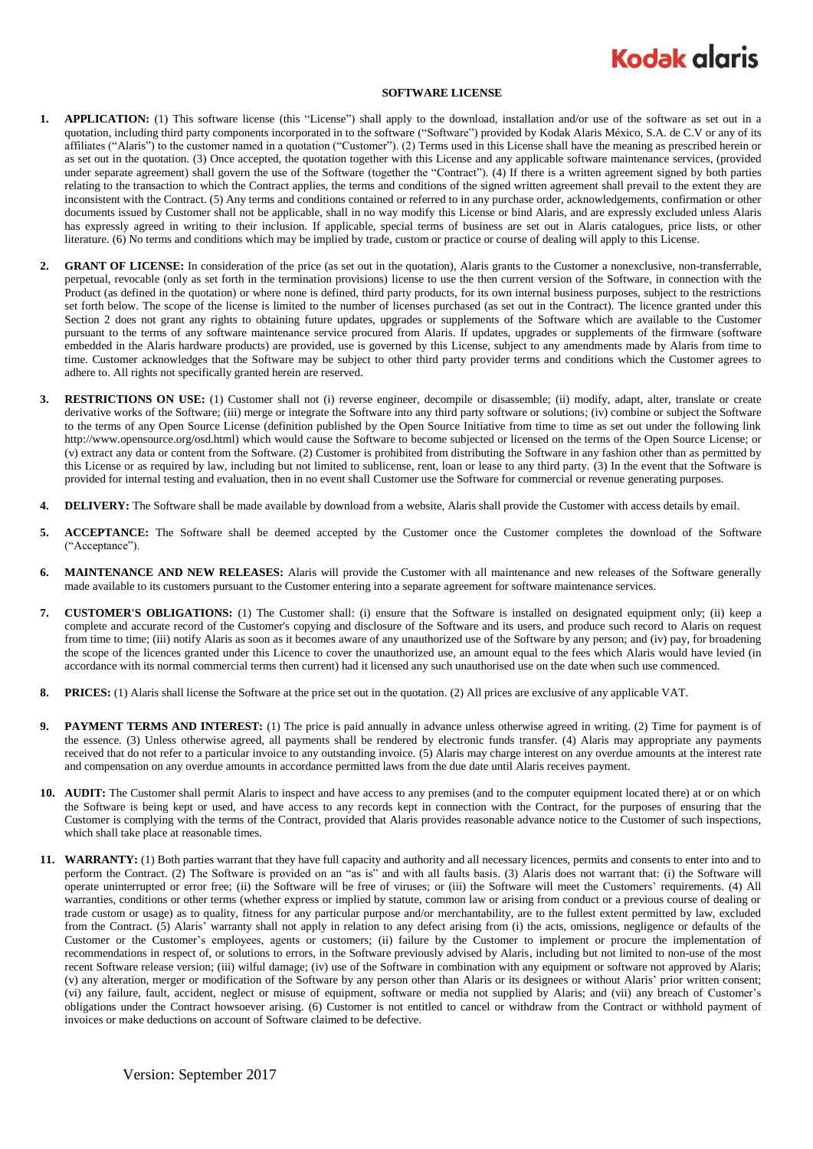## **Kodak glaris**

## **SOFTWARE LICENSE**

- **1. APPLICATION:** (1) This software license (this "License") shall apply to the download, installation and/or use of the software as set out in a quotation, including third party components incorporated in to the software ("Software") provided by Kodak Alaris México, S.A. de C.V or any of its affiliates ("Alaris") to the customer named in a quotation ("Customer"). (2) Terms used in this License shall have the meaning as prescribed herein or as set out in the quotation. (3) Once accepted, the quotation together with this License and any applicable software maintenance services, (provided under separate agreement) shall govern the use of the Software (together the "Contract"). (4) If there is a written agreement signed by both parties relating to the transaction to which the Contract applies, the terms and conditions of the signed written agreement shall prevail to the extent they are inconsistent with the Contract. (5) Any terms and conditions contained or referred to in any purchase order, acknowledgements, confirmation or other documents issued by Customer shall not be applicable, shall in no way modify this License or bind Alaris, and are expressly excluded unless Alaris has expressly agreed in writing to their inclusion. If applicable, special terms of business are set out in Alaris catalogues, price lists, or other literature. (6) No terms and conditions which may be implied by trade, custom or practice or course of dealing will apply to this License.
- **2. GRANT OF LICENSE:** In consideration of the price (as set out in the quotation), Alaris grants to the Customer a nonexclusive, non-transferrable, perpetual, revocable (only as set forth in the termination provisions) license to use the then current version of the Software, in connection with the Product (as defined in the quotation) or where none is defined, third party products, for its own internal business purposes, subject to the restrictions set forth below. The scope of the license is limited to the number of licenses purchased (as set out in the Contract). The licence granted under this Section 2 does not grant any rights to obtaining future updates, upgrades or supplements of the Software which are available to the Customer pursuant to the terms of any software maintenance service procured from Alaris. If updates, upgrades or supplements of the firmware (software embedded in the Alaris hardware products) are provided, use is governed by this License, subject to any amendments made by Alaris from time to time. Customer acknowledges that the Software may be subject to other third party provider terms and conditions which the Customer agrees to adhere to. All rights not specifically granted herein are reserved.
- **3. RESTRICTIONS ON USE:** (1) Customer shall not (i) reverse engineer, decompile or disassemble; (ii) modify, adapt, alter, translate or create derivative works of the Software; (iii) merge or integrate the Software into any third party software or solutions; (iv) combine or subject the Software to the terms of any Open Source License (definition published by the Open Source Initiative from time to time as set out under the following link http://www.opensource.org/osd.html) which would cause the Software to become subjected or licensed on the terms of the Open Source License; or (v) extract any data or content from the Software. (2) Customer is prohibited from distributing the Software in any fashion other than as permitted by this License or as required by law, including but not limited to sublicense, rent, loan or lease to any third party. (3) In the event that the Software is provided for internal testing and evaluation, then in no event shall Customer use the Software for commercial or revenue generating purposes.
- **4. DELIVERY:** The Software shall be made available by download from a website, Alaris shall provide the Customer with access details by email.
- **5. ACCEPTANCE:** The Software shall be deemed accepted by the Customer once the Customer completes the download of the Software ("Acceptance").
- **6. MAINTENANCE AND NEW RELEASES:** Alaris will provide the Customer with all maintenance and new releases of the Software generally made available to its customers pursuant to the Customer entering into a separate agreement for software maintenance services.
- **7. CUSTOMER'S OBLIGATIONS:** (1) The Customer shall: (i) ensure that the Software is installed on designated equipment only; (ii) keep a complete and accurate record of the Customer's copying and disclosure of the Software and its users, and produce such record to Alaris on request from time to time; (iii) notify Alaris as soon as it becomes aware of any unauthorized use of the Software by any person; and (iv) pay, for broadening the scope of the licences granted under this Licence to cover the unauthorized use, an amount equal to the fees which Alaris would have levied (in accordance with its normal commercial terms then current) had it licensed any such unauthorised use on the date when such use commenced.
- **8. PRICES:** (1) Alaris shall license the Software at the price set out in the quotation. (2) All prices are exclusive of any applicable VAT.
- **9. PAYMENT TERMS AND INTEREST:** (1) The price is paid annually in advance unless otherwise agreed in writing. (2) Time for payment is of the essence. (3) Unless otherwise agreed, all payments shall be rendered by electronic funds transfer. (4) Alaris may appropriate any payments received that do not refer to a particular invoice to any outstanding invoice. (5) Alaris may charge interest on any overdue amounts at the interest rate and compensation on any overdue amounts in accordance permitted laws from the due date until Alaris receives payment.
- **10. AUDIT:** The Customer shall permit Alaris to inspect and have access to any premises (and to the computer equipment located there) at or on which the Software is being kept or used, and have access to any records kept in connection with the Contract, for the purposes of ensuring that the Customer is complying with the terms of the Contract, provided that Alaris provides reasonable advance notice to the Customer of such inspections, which shall take place at reasonable times.
- **11. WARRANTY:** (1) Both parties warrant that they have full capacity and authority and all necessary licences, permits and consents to enter into and to perform the Contract. (2) The Software is provided on an "as is" and with all faults basis. (3) Alaris does not warrant that: (i) the Software will operate uninterrupted or error free; (ii) the Software will be free of viruses; or (iii) the Software will meet the Customers' requirements. (4) All warranties, conditions or other terms (whether express or implied by statute, common law or arising from conduct or a previous course of dealing or trade custom or usage) as to quality, fitness for any particular purpose and/or merchantability, are to the fullest extent permitted by law, excluded from the Contract. (5) Alaris' warranty shall not apply in relation to any defect arising from (i) the acts, omissions, negligence or defaults of the Customer or the Customer's employees, agents or customers; (ii) failure by the Customer to implement or procure the implementation of recommendations in respect of, or solutions to errors, in the Software previously advised by Alaris, including but not limited to non-use of the most recent Software release version; (iii) wilful damage; (iv) use of the Software in combination with any equipment or software not approved by Alaris; (v) any alteration, merger or modification of the Software by any person other than Alaris or its designees or without Alaris' prior written consent; (vi) any failure, fault, accident, neglect or misuse of equipment, software or media not supplied by Alaris; and (vii) any breach of Customer's obligations under the Contract howsoever arising. (6) Customer is not entitled to cancel or withdraw from the Contract or withhold payment of invoices or make deductions on account of Software claimed to be defective.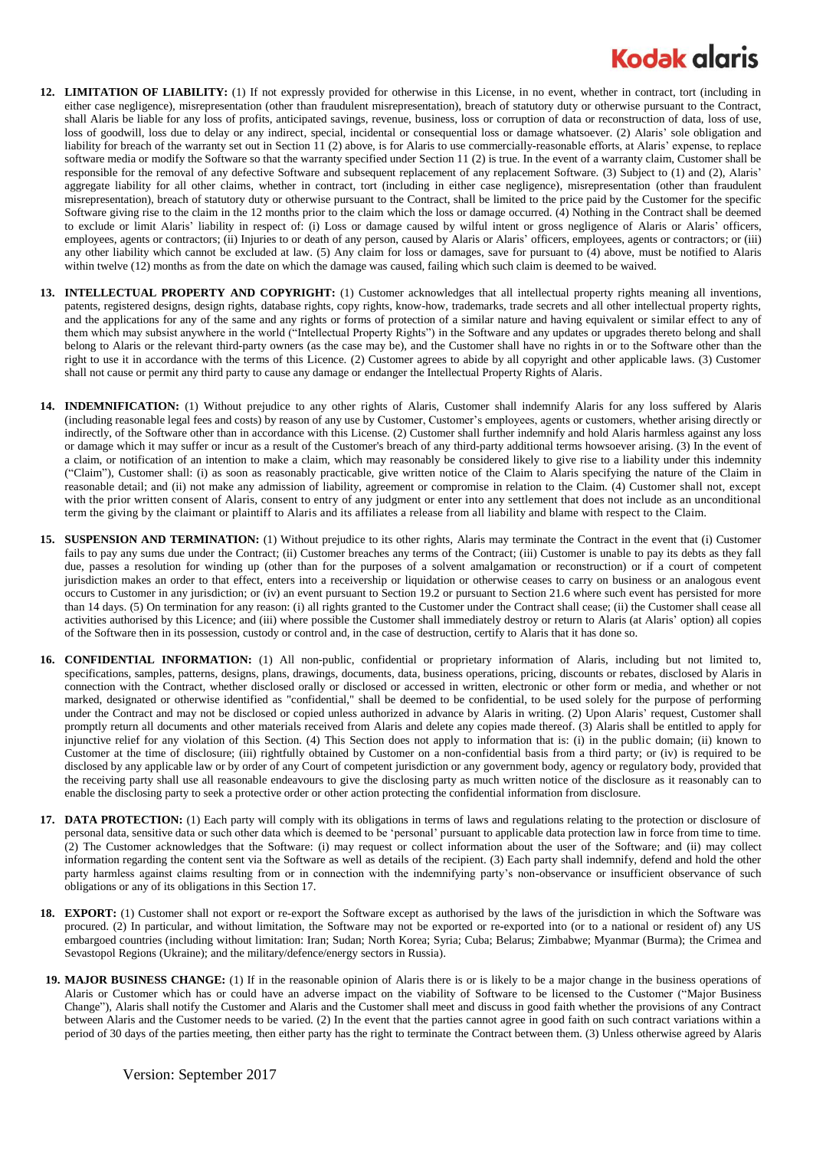## **Kodak alaris**

- **12. LIMITATION OF LIABILITY:** (1) If not expressly provided for otherwise in this License, in no event, whether in contract, tort (including in either case negligence), misrepresentation (other than fraudulent misrepresentation), breach of statutory duty or otherwise pursuant to the Contract, shall Alaris be liable for any loss of profits, anticipated savings, revenue, business, loss or corruption of data or reconstruction of data, loss of use, loss of goodwill, loss due to delay or any indirect, special, incidental or consequential loss or damage whatsoever. (2) Alaris' sole obligation and liability for breach of the warranty set out in Section 11 (2) above, is for Alaris to use commercially-reasonable efforts, at Alaris' expense, to replace software media or modify the Software so that the warranty specified under Section 11 (2) is true. In the event of a warranty claim, Customer shall be responsible for the removal of any defective Software and subsequent replacement of any replacement Software. (3) Subject to (1) and (2), Alaris' aggregate liability for all other claims, whether in contract, tort (including in either case negligence), misrepresentation (other than fraudulent misrepresentation), breach of statutory duty or otherwise pursuant to the Contract, shall be limited to the price paid by the Customer for the specific Software giving rise to the claim in the 12 months prior to the claim which the loss or damage occurred. (4) Nothing in the Contract shall be deemed to exclude or limit Alaris' liability in respect of: (i) Loss or damage caused by wilful intent or gross negligence of Alaris or Alaris' officers, employees, agents or contractors; (ii) Injuries to or death of any person, caused by Alaris or Alaris' officers, employees, agents or contractors; or (iii) any other liability which cannot be excluded at law. (5) Any claim for loss or damages, save for pursuant to (4) above, must be notified to Alaris within twelve (12) months as from the date on which the damage was caused, failing which such claim is deemed to be waived.
- **13. INTELLECTUAL PROPERTY AND COPYRIGHT:** (1) Customer acknowledges that all intellectual property rights meaning all inventions, patents, registered designs, design rights, database rights, copy rights, know-how, trademarks, trade secrets and all other intellectual property rights, and the applications for any of the same and any rights or forms of protection of a similar nature and having equivalent or similar effect to any of them which may subsist anywhere in the world ("Intellectual Property Rights") in the Software and any updates or upgrades thereto belong and shall belong to Alaris or the relevant third-party owners (as the case may be), and the Customer shall have no rights in or to the Software other than the right to use it in accordance with the terms of this Licence. (2) Customer agrees to abide by all copyright and other applicable laws. (3) Customer shall not cause or permit any third party to cause any damage or endanger the Intellectual Property Rights of Alaris.
- **14. INDEMNIFICATION:** (1) Without prejudice to any other rights of Alaris, Customer shall indemnify Alaris for any loss suffered by Alaris (including reasonable legal fees and costs) by reason of any use by Customer, Customer's employees, agents or customers, whether arising directly or indirectly, of the Software other than in accordance with this License. (2) Customer shall further indemnify and hold Alaris harmless against any loss or damage which it may suffer or incur as a result of the Customer's breach of any third-party additional terms howsoever arising. (3) In the event of a claim, or notification of an intention to make a claim, which may reasonably be considered likely to give rise to a liability under this indemnity ("Claim"), Customer shall: (i) as soon as reasonably practicable, give written notice of the Claim to Alaris specifying the nature of the Claim in reasonable detail; and (ii) not make any admission of liability, agreement or compromise in relation to the Claim. (4) Customer shall not, except with the prior written consent of Alaris, consent to entry of any judgment or enter into any settlement that does not include as an unconditional term the giving by the claimant or plaintiff to Alaris and its affiliates a release from all liability and blame with respect to the Claim.
- **15. SUSPENSION AND TERMINATION:** (1) Without prejudice to its other rights, Alaris may terminate the Contract in the event that (i) Customer fails to pay any sums due under the Contract; (ii) Customer breaches any terms of the Contract; (iii) Customer is unable to pay its debts as they fall due, passes a resolution for winding up (other than for the purposes of a solvent amalgamation or reconstruction) or if a court of competent jurisdiction makes an order to that effect, enters into a receivership or liquidation or otherwise ceases to carry on business or an analogous event occurs to Customer in any jurisdiction; or (iv) an event pursuant to Section 19.2 or pursuant to Section 21.6 where such event has persisted for more than 14 days. (5) On termination for any reason: (i) all rights granted to the Customer under the Contract shall cease; (ii) the Customer shall cease all activities authorised by this Licence; and (iii) where possible the Customer shall immediately destroy or return to Alaris (at Alaris' option) all copies of the Software then in its possession, custody or control and, in the case of destruction, certify to Alaris that it has done so.
- **16. CONFIDENTIAL INFORMATION:** (1) All non-public, confidential or proprietary information of Alaris, including but not limited to, specifications, samples, patterns, designs, plans, drawings, documents, data, business operations, pricing, discounts or rebates, disclosed by Alaris in connection with the Contract, whether disclosed orally or disclosed or accessed in written, electronic or other form or media, and whether or not marked, designated or otherwise identified as "confidential," shall be deemed to be confidential, to be used solely for the purpose of performing under the Contract and may not be disclosed or copied unless authorized in advance by Alaris in writing. (2) Upon Alaris' request, Customer shall promptly return all documents and other materials received from Alaris and delete any copies made thereof. (3) Alaris shall be entitled to apply for injunctive relief for any violation of this Section. (4) This Section does not apply to information that is: (i) in the public domain; (ii) known to Customer at the time of disclosure; (iii) rightfully obtained by Customer on a non-confidential basis from a third party; or (iv) is required to be disclosed by any applicable law or by order of any Court of competent jurisdiction or any government body, agency or regulatory body, provided that the receiving party shall use all reasonable endeavours to give the disclosing party as much written notice of the disclosure as it reasonably can to enable the disclosing party to seek a protective order or other action protecting the confidential information from disclosure.
- **17. DATA PROTECTION:** (1) Each party will comply with its obligations in terms of laws and regulations relating to the protection or disclosure of personal data, sensitive data or such other data which is deemed to be 'personal' pursuant to applicable data protection law in force from time to time. (2) The Customer acknowledges that the Software: (i) may request or collect information about the user of the Software; and (ii) may collect information regarding the content sent via the Software as well as details of the recipient. (3) Each party shall indemnify, defend and hold the other party harmless against claims resulting from or in connection with the indemnifying party's non-observance or insufficient observance of such obligations or any of its obligations in this Section 17.
- **18. EXPORT:** (1) Customer shall not export or re-export the Software except as authorised by the laws of the jurisdiction in which the Software was procured. (2) In particular, and without limitation, the Software may not be exported or re-exported into (or to a national or resident of) any US embargoed countries (including without limitation: Iran; Sudan; North Korea; Syria; Cuba; Belarus; Zimbabwe; Myanmar (Burma); the Crimea and Sevastopol Regions (Ukraine); and the military/defence/energy sectors in Russia).
- **19. MAJOR BUSINESS CHANGE:** (1) If in the reasonable opinion of Alaris there is or is likely to be a major change in the business operations of Alaris or Customer which has or could have an adverse impact on the viability of Software to be licensed to the Customer ("Major Business Change"), Alaris shall notify the Customer and Alaris and the Customer shall meet and discuss in good faith whether the provisions of any Contract between Alaris and the Customer needs to be varied. (2) In the event that the parties cannot agree in good faith on such contract variations within a period of 30 days of the parties meeting, then either party has the right to terminate the Contract between them. (3) Unless otherwise agreed by Alaris